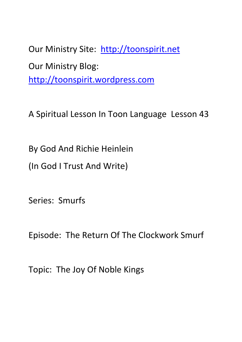Our Ministry Site: http://toonspirit.net Our Ministry Blog: http://toonspirit.wordpress.com

A Spiritual Lesson In Toon Language Lesson 43

By God And Richie Heinlein

(In God I Trust And Write)

Series: Smurfs

Episode: The Return Of The Clockwork Smurf

Topic: The Joy Of Noble Kings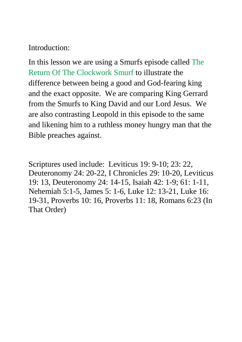## Introduction:

In this lesson we are using a Smurfs episode called The Return Of The Clockwork Smurf to illustrate the difference between being a good and God-fearing king and the exact opposite. We are comparing King Gerrard from the Smurfs to King David and our Lord Jesus. We are also contrasting Leopold in this episode to the same and likening him to a ruthless money hungry man that the Bible preaches against.

Scriptures used include: Leviticus 19: 9-10; 23: 22, Deuteronomy 24: 20-22, I Chronicles 29: 10-20, Leviticus 19: 13, Deuteronomy 24: 14-15, Isaiah 42: 1-9; 61: 1-11, Nehemiah 5:1-5, James 5: 1-6, Luke 12: 13-21, Luke 16: 19-31, Proverbs 10: 16, Proverbs 11: 18, Romans 6:23 (In That Order)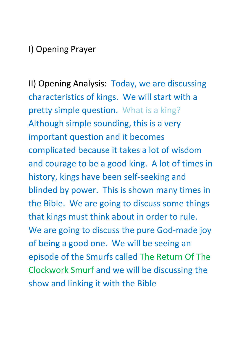## I) Opening Prayer

II) Opening Analysis: Today, we are discussing characteristics of kings. We will start with a pretty simple question. What is a king? Although simple sounding, this is a very important question and it becomes complicated because it takes a lot of wisdom and courage to be a good king. A lot of times in history, kings have been self-seeking and blinded by power. This is shown many times in the Bible. We are going to discuss some things that kings must think about in order to rule. We are going to discuss the pure God-made joy of being a good one. We will be seeing an episode of the Smurfs called The Return Of The Clockwork Smurf and we will be discussing the show and linking it with the Bible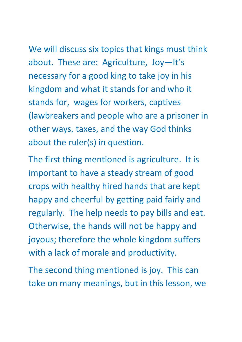We will discuss six topics that kings must think about. These are: Agriculture, Joy—It's necessary for a good king to take joy in his kingdom and what it stands for and who it stands for, wages for workers, captives (lawbreakers and people who are a prisoner in other ways, taxes, and the way God thinks about the ruler(s) in question.

The first thing mentioned is agriculture. It is important to have a steady stream of good crops with healthy hired hands that are kept happy and cheerful by getting paid fairly and regularly. The help needs to pay bills and eat. Otherwise, the hands will not be happy and joyous; therefore the whole kingdom suffers with a lack of morale and productivity.

The second thing mentioned is joy. This can take on many meanings, but in this lesson, we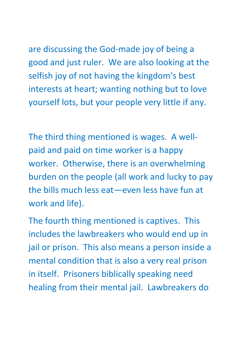are discussing the God-made joy of being a

good and just ruler. We are also looking at the selfish joy of not having the kingdom's best interests at heart; wanting nothing but to love yourself lots, but your people very little if any.

The third thing mentioned is wages. A wellpaid and paid on time worker is a happy worker. Otherwise, there is an overwhelming burden on the people (all work and lucky to pay the bills much less eat—even less have fun at work and life).

The fourth thing mentioned is captives. This includes the lawbreakers who would end up in jail or prison. This also means a person inside a mental condition that is also a very real prison in itself. Prisoners biblically speaking need healing from their mental jail. Lawbreakers do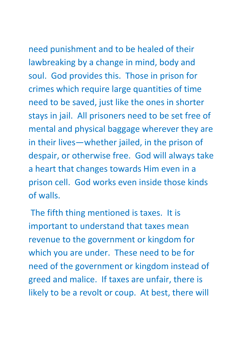need punishment and to be healed of their lawbreaking by a change in mind, body and soul. God provides this. Those in prison for crimes which require large quantities of time need to be saved, just like the ones in shorter stays in jail. All prisoners need to be set free of mental and physical baggage wherever they are in their lives—whether jailed, in the prison of despair, or otherwise free. God will always take a heart that changes towards Him even in a prison cell. God works even inside those kinds of walls.

The fifth thing mentioned is taxes. It is important to understand that taxes mean revenue to the government or kingdom for which you are under. These need to be for need of the government or kingdom instead of greed and malice. If taxes are unfair, there is likely to be a revolt or coup. At best, there will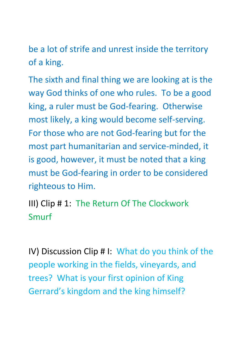be a lot of strife and unrest inside the territory of a king.

The sixth and final thing we are looking at is the way God thinks of one who rules. To be a good king, a ruler must be God-fearing. Otherwise most likely, a king would become self-serving. For those who are not God-fearing but for the most part humanitarian and service-minded, it is good, however, it must be noted that a king must be God-fearing in order to be considered righteous to Him.

III) Clip # 1: The Return Of The Clockwork Smurf

IV) Discussion Clip # I: What do you think of the people working in the fields, vineyards, and trees? What is your first opinion of King Gerrard's kingdom and the king himself?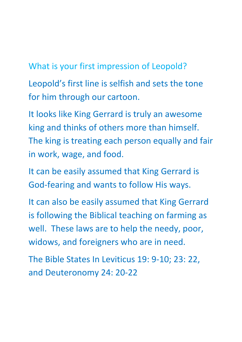What is your first impression of Leopold?

Leopold's first line is selfish and sets the tone for him through our cartoon.

It looks like King Gerrard is truly an awesome king and thinks of others more than himself. The king is treating each person equally and fair in work, wage, and food.

It can be easily assumed that King Gerrard is God-fearing and wants to follow His ways.

It can also be easily assumed that King Gerrard is following the Biblical teaching on farming as well. These laws are to help the needy, poor, widows, and foreigners who are in need.

The Bible States In Leviticus 19: 9-10; 23: 22, and Deuteronomy 24: 20-22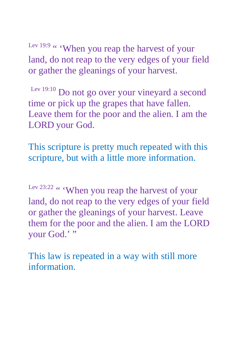Lev 19:9 " 'When you reap the harvest of your land, do not reap to the very edges of your field or gather the gleanings of your harvest.

Lev 19:10 Do not go over your vineyard a second time or pick up the grapes that have fallen. Leave them for the poor and the alien. I am the LORD your God.

This scripture is pretty much repeated with this scripture, but with a little more information.

Lev 23:22 " 'When you reap the harvest of your land, do not reap to the very edges of your field or gather the gleanings of your harvest. Leave them for the poor and the alien. I am the LORD your God.'"

This law is repeated in a way with still more information.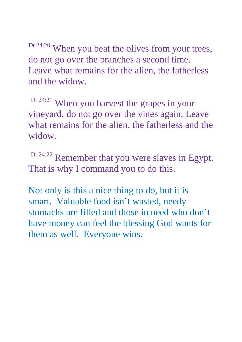Dt 24:20 When you beat the olives from your trees, do not go over the branches a second time. Leave what remains for the alien, the fatherless and the widow.

Dt 24:21 When you harvest the grapes in your vineyard, do not go over the vines again. Leave what remains for the alien, the fatherless and the widow.

Dt 24:22 Remember that you were slaves in Egypt. That is why I command you to do this.

Not only is this a nice thing to do, but it is smart. Valuable food isn't wasted, needy stomachs are filled and those in need who don't have money can feel the blessing God wants for them as well. Everyone wins.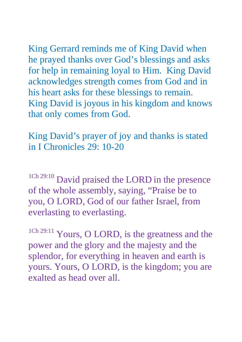King Gerrard reminds me of King David when he prayed thanks over God's blessings and asks for help in remaining loyal to Him. King David acknowledges strength comes from God and in his heart asks for these blessings to remain. King David is joyous in his kingdom and knows that only comes from God.

King David's prayer of joy and thanks is stated in I Chronicles 29: 10-20

<sup>1Ch 29:10</sup> David praised the LORD in the presence of the whole assembly, saying, "Praise be to you, O LORD, God of our father Israel, from everlasting to everlasting.

<sup>1Ch 29:11</sup> Yours, O LORD, is the greatness and the power and the glory and the majesty and the splendor, for everything in heaven and earth is yours. Yours, O LORD, is the kingdom; you are exalted as head over all.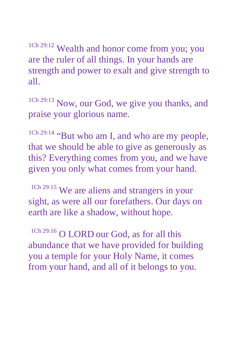<sup>1Ch 29:12</sup> Wealth and honor come from you; you are the ruler of all things. In your hands are strength and power to exalt and give strength to all.

<sup>1Ch 29:13</sup> Now, our God, we give you thanks, and praise your glorious name.

1Ch 29:14 "But who am I, and who are my people, that we should be able to give as generously as this? Everything comes from you, and we have given you only what comes from your hand.

1Ch 29:15 We are aliens and strangers in your sight, as were all our forefathers. Our days on earth are like a shadow, without hope.

<sup>1Ch 29:16</sup> O LORD our God, as for all this abundance that we have provided for building you a temple for your Holy Name, it comes from your hand, and all of it belongs to you.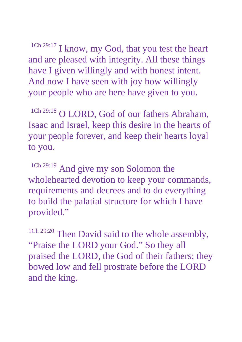<sup>1Ch 29:17</sup> I know, my God, that you test the heart and are pleased with integrity. All these things have I given willingly and with honest intent. And now I have seen with joy how willingly your people who are here have given to you.

<sup>1Ch 29:18</sup> O LORD, God of our fathers Abraham, Isaac and Israel, keep this desire in the hearts of your people forever, and keep their hearts loyal to you.

<sup>1Ch 29:19</sup> And give my son Solomon the wholehearted devotion to keep your commands, requirements and decrees and to do everything to build the palatial structure for which I have provided."

<sup>1Ch 29:20</sup> Then David said to the whole assembly, "Praise the LORD your God." So they all praised the LORD, the God of their fathers; they bowed low and fell prostrate before the LORD and the king.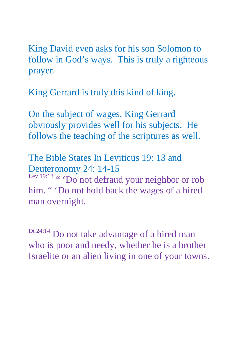King David even asks for his son Solomon to follow in God's ways. This is truly a righteous prayer.

King Gerrard is truly this kind of king.

On the subject of wages, King Gerrard obviously provides well for his subjects. He follows the teaching of the scriptures as well.

The Bible States In Leviticus 19: 13 and Deuteronomy 24: 14-15

Lev 19:13 " 'Do not defraud your neighbor or rob him. " 'Do not hold back the wages of a hired man overnight.

Dt 24:14 Do not take advantage of a hired man who is poor and needy, whether he is a brother Israelite or an alien living in one of your towns.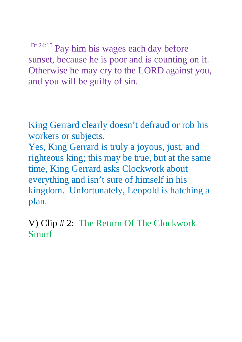Dt 24:15 Pay him his wages each day before sunset, because he is poor and is counting on it. Otherwise he may cry to the LORD against you, and you will be guilty of sin.

King Gerrard clearly doesn't defraud or rob his workers or subjects.

Yes, King Gerrard is truly a joyous, just, and righteous king; this may be true, but at the same time, King Gerrard asks Clockwork about everything and isn't sure of himself in his kingdom. Unfortunately, Leopold is hatching a plan.

V) Clip # 2: The Return Of The Clockwork Smurf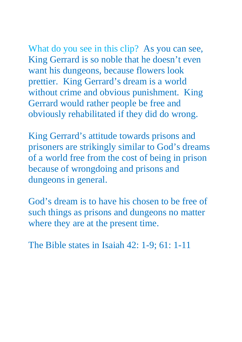What do you see in this clip? As you can see, King Gerrard is so noble that he doesn't even want his dungeons, because flowers look prettier. King Gerrard's dream is a world without crime and obvious punishment. King Gerrard would rather people be free and obviously rehabilitated if they did do wrong.

King Gerrard's attitude towards prisons and prisoners are strikingly similar to God's dreams of a world free from the cost of being in prison because of wrongdoing and prisons and dungeons in general.

God's dream is to have his chosen to be free of such things as prisons and dungeons no matter where they are at the present time.

The Bible states in Isaiah 42: 1-9; 61: 1-11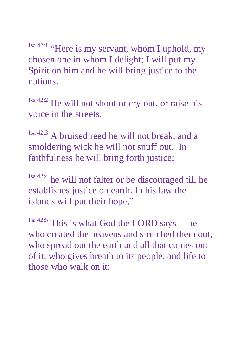Isa 42:1 "Here is my servant, whom I uphold, my chosen one in whom I delight; I will put my Spirit on him and he will bring justice to the nations.

Isa 42:2 He will not shout or cry out, or raise his voice in the streets.

Isa 42:3 A bruised reed he will not break, and a smoldering wick he will not snuff out. In faithfulness he will bring forth justice;

Isa 42:4 he will not falter or be discouraged till he establishes justice on earth. In his law the islands will put their hope."

Isa 42:5 This is what God the LORD says— he who created the heavens and stretched them out, who spread out the earth and all that comes out of it, who gives breath to its people, and life to those who walk on it: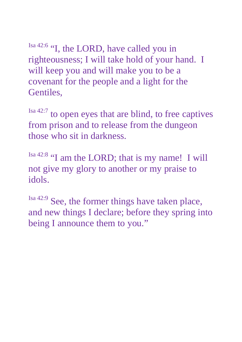Isa 42:6 "I, the LORD, have called you in righteousness; I will take hold of your hand. I will keep you and will make you to be a covenant for the people and a light for the Gentiles,

Isa 42:7 to open eyes that are blind, to free captives from prison and to release from the dungeon those who sit in darkness.

Isa 42:8 "I am the LORD; that is my name! I will not give my glory to another or my praise to idols.

Isa 42:9 See, the former things have taken place, and new things I declare; before they spring into being I announce them to you."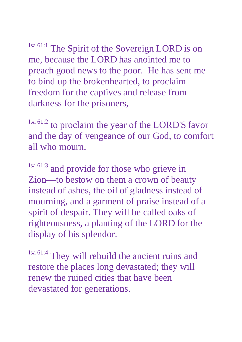Isa 61:1 The Spirit of the Sovereign LORD is on me, because the LORD has anointed me to preach good news to the poor. He has sent me to bind up the brokenhearted, to proclaim freedom for the captives and release from darkness for the prisoners,

Isa 61:2 to proclaim the year of the LORD'S favor and the day of vengeance of our God, to comfort all who mourn,

Isa 61:3 and provide for those who grieve in Zion—to bestow on them a crown of beauty instead of ashes, the oil of gladness instead of mourning, and a garment of praise instead of a spirit of despair. They will be called oaks of righteousness, a planting of the LORD for the display of his splendor.

Isa 61:4 They will rebuild the ancient ruins and restore the places long devastated; they will renew the ruined cities that have been devastated for generations.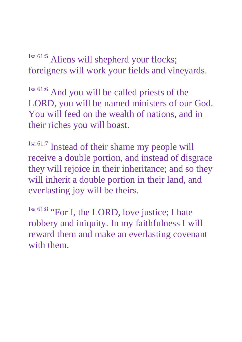Isa 61:5 Aliens will shepherd your flocks; foreigners will work your fields and vineyards.

Isa 61:6 And you will be called priests of the LORD, you will be named ministers of our God. You will feed on the wealth of nations, and in their riches you will boast.

Isa 61:7 Instead of their shame my people will receive a double portion, and instead of disgrace they will rejoice in their inheritance; and so they will inherit a double portion in their land, and everlasting joy will be theirs.

Isa 61:8 "For I, the LORD, love justice; I hate robbery and iniquity. In my faithfulness I will reward them and make an everlasting covenant with them.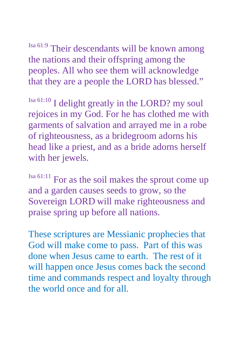Isa 61:9 Their descendants will be known among the nations and their offspring among the peoples. All who see them will acknowledge that they are a people the LORD has blessed."

 $\frac{\text{Isa } 61:10}{\text{I}}$  I delight greatly in the LORD? my soul rejoices in my God. For he has clothed me with garments of salvation and arrayed me in a robe of righteousness, as a bridegroom adorns his head like a priest, and as a bride adorns herself with her jewels.

Isa 61:11 For as the soil makes the sprout come up and a garden causes seeds to grow, so the Sovereign LORD will make righteousness and praise spring up before all nations.

These scriptures are Messianic prophecies that God will make come to pass. Part of this was done when Jesus came to earth. The rest of it will happen once Jesus comes back the second time and commands respect and loyalty through the world once and for all.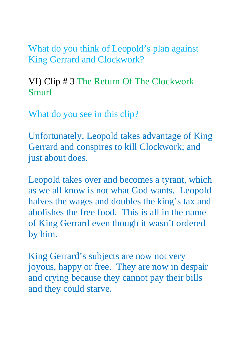What do you think of Leopold's plan against King Gerrard and Clockwork?

VI) Clip # 3 The Return Of The Clockwork Smurf

What do you see in this clip?

Unfortunately, Leopold takes advantage of King Gerrard and conspires to kill Clockwork; and just about does.

Leopold takes over and becomes a tyrant, which as we all know is not what God wants. Leopold halves the wages and doubles the king's tax and abolishes the free food. This is all in the name of King Gerrard even though it wasn't ordered by him.

King Gerrard's subjects are now not very joyous, happy or free. They are now in despair and crying because they cannot pay their bills and they could starve.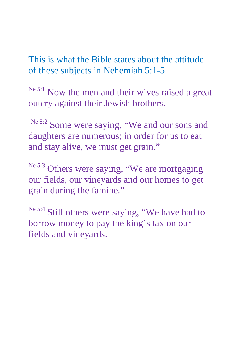This is what the Bible states about the attitude of these subjects in Nehemiah 5:1-5.

Ne 5:1 Now the men and their wives raised a great outcry against their Jewish brothers.

Ne 5:2 Some were saying, "We and our sons and daughters are numerous; in order for us to eat and stay alive, we must get grain."

Ne 5:3 Others were saying, "We are mortgaging our fields, our vineyards and our homes to get grain during the famine."

<sup>Ne 5:4</sup> Still others were saying, "We have had to borrow money to pay the king's tax on our fields and vineyards.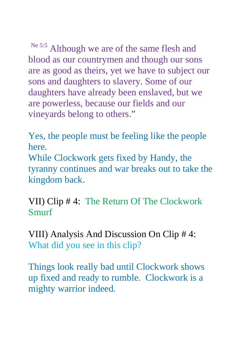Ne 5:5 Although we are of the same flesh and blood as our countrymen and though our sons are as good as theirs, yet we have to subject our sons and daughters to slavery. Some of our daughters have already been enslaved, but we are powerless, because our fields and our vineyards belong to others."

Yes, the people must be feeling like the people here.

While Clockwork gets fixed by Handy, the tyranny continues and war breaks out to take the kingdom back.

VII) Clip # 4: The Return Of The Clockwork Smurf

VIII) Analysis And Discussion On Clip # 4: What did you see in this clip?

Things look really bad until Clockwork shows up fixed and ready to rumble. Clockwork is a mighty warrior indeed.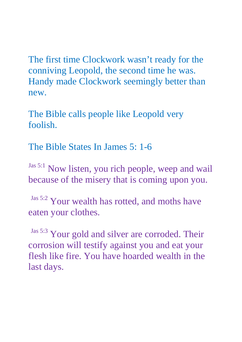The first time Clockwork wasn't ready for the conniving Leopold, the second time he was. Handy made Clockwork seemingly better than new.

The Bible calls people like Leopold very foolish.

The Bible States In James 5: 1-6

Jas 5:1 Now listen, you rich people, weep and wail because of the misery that is coming upon you.

Jas 5:2 Your wealth has rotted, and moths have eaten your clothes.

Jas 5:3 Your gold and silver are corroded. Their corrosion will testify against you and eat your flesh like fire. You have hoarded wealth in the last days.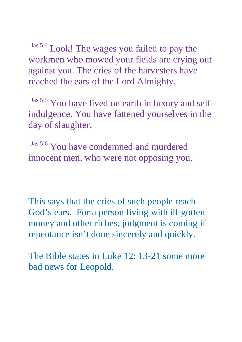Jas 5:4 Look! The wages you failed to pay the workmen who mowed your fields are crying out against you. The cries of the harvesters have reached the ears of the Lord Almighty.

Jas 5:5 You have lived on earth in luxury and selfindulgence. You have fattened yourselves in the day of slaughter.

Jas 5:6 You have condemned and murdered innocent men, who were not opposing you.

This says that the cries of such people reach God's ears. For a person living with ill-gotten money and other riches, judgment is coming if repentance isn't done sincerely and quickly.

The Bible states in Luke 12: 13-21 some more bad news for Leopold.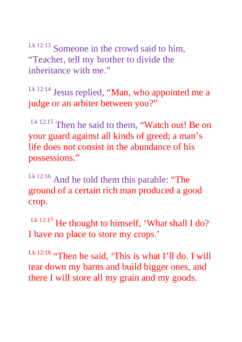Lk 12:13 Someone in the crowd said to him, "Teacher, tell my brother to divide the inheritance with me."

Lk 12:14 Jesus replied, "Man, who appointed me a judge or an arbiter between you?"

Lk 12:15 Then he said to them, "Watch out! Be on your guard against all kinds of greed; a man's life does not consist in the abundance of his possessions."

Lk 12:16 And he told them this parable: "The ground of a certain rich man produced a good crop.

Lk 12:17 He thought to himself, 'What shall I do? I have no place to store my crops.'

Lk 12:18 "Then he said, 'This is what I'll do. I will tear down my barns and build bigger ones, and there I will store all my grain and my goods.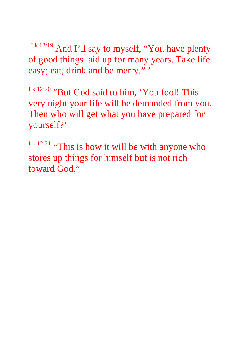Lk 12:19 And I'll say to myself, "You have plenty of good things laid up for many years. Take life easy; eat, drink and be merry."'

Lk 12:20 "But God said to him, 'You fool! This very night your life will be demanded from you. Then who will get what you have prepared for yourself?'

Lk  $12:21$  "This is how it will be with anyone who stores up things for himself but is not rich toward God."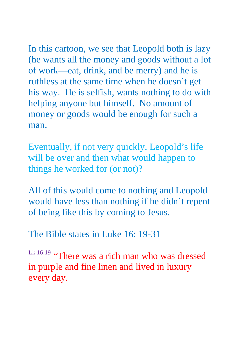In this cartoon, we see that Leopold both is lazy (he wants all the money and goods without a lot of work—eat, drink, and be merry) and he is ruthless at the same time when he doesn't get his way. He is selfish, wants nothing to do with helping anyone but himself. No amount of money or goods would be enough for such a man.

Eventually, if not very quickly, Leopold's life will be over and then what would happen to things he worked for (or not)?

All of this would come to nothing and Leopold would have less than nothing if he didn't repent of being like this by coming to Jesus.

The Bible states in Luke 16: 19-31

Lk 16:19 "There was a rich man who was dressed in purple and fine linen and lived in luxury every day.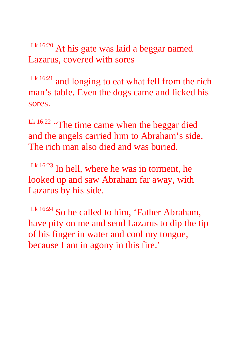Lk 16:20 At his gate was laid a beggar named Lazarus, covered with sores

 $Lk$  16:21 and longing to eat what fell from the rich man's table. Even the dogs came and licked his sores.

Lk 16:22 "The time came when the beggar died and the angels carried him to Abraham's side. The rich man also died and was buried.

 $Lk$  16:23 In hell, where he was in torment, he looked up and saw Abraham far away, with Lazarus by his side.

Lk 16:24 So he called to him, 'Father Abraham, have pity on me and send Lazarus to dip the tip of his finger in water and cool my tongue, because I am in agony in this fire.'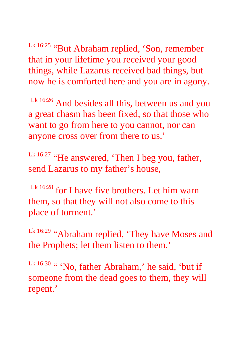Lk 16:25 "But Abraham replied, 'Son, remember that in your lifetime you received your good things, while Lazarus received bad things, but now he is comforted here and you are in agony.

Lk 16:26 And besides all this, between us and you a great chasm has been fixed, so that those who want to go from here to you cannot, nor can anyone cross over from there to us.'

Lk 16:27 "He answered, 'Then I beg you, father, send Lazarus to my father's house,

Lk 16:28 for I have five brothers. Let him warn them, so that they will not also come to this place of torment.'

Lk 16:29 "Abraham replied, 'They have Moses and the Prophets; let them listen to them.'

Lk 16:30 " 'No, father Abraham,' he said, 'but if someone from the dead goes to them, they will repent.'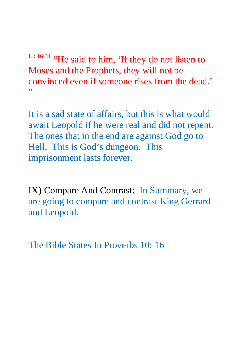Lk 16:31 "He said to him, 'If they do not listen to Moses and the Prophets, they will not be convinced even if someone rises from the dead.' ,,

It is a sad state of affairs, but this is what would await Leopold if he were real and did not repent. The ones that in the end are against God go to Hell. This is God's dungeon. This imprisonment lasts forever.

IX) Compare And Contrast: In Summary, we are going to compare and contrast King Gerrard and Leopold.

The Bible States In Proverbs 10: 16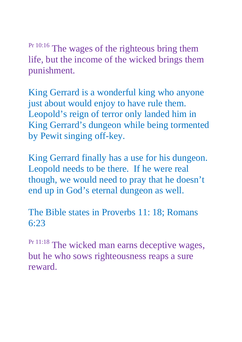Pr 10:16 The wages of the righteous bring them life, but the income of the wicked brings them punishment.

King Gerrard is a wonderful king who anyone just about would enjoy to have rule them. Leopold's reign of terror only landed him in King Gerrard's dungeon while being tormented by Pewit singing off-key.

King Gerrard finally has a use for his dungeon. Leopold needs to be there. If he were real though, we would need to pray that he doesn't end up in God's eternal dungeon as well.

The Bible states in Proverbs 11: 18; Romans 6:23

Pr 11:18 The wicked man earns deceptive wages, but he who sows righteousness reaps a sure reward.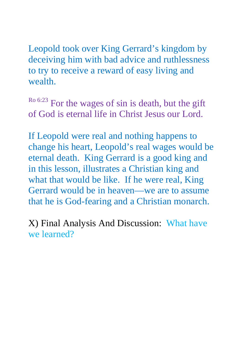Leopold took over King Gerrard's kingdom by deceiving him with bad advice and ruthlessness to try to receive a reward of easy living and wealth.

Ro 6:23 For the wages of sin is death, but the gift of God is eternal life in Christ Jesus our Lord.

If Leopold were real and nothing happens to change his heart, Leopold's real wages would be eternal death. King Gerrard is a good king and in this lesson, illustrates a Christian king and what that would be like. If he were real, King Gerrard would be in heaven—we are to assume that he is God-fearing and a Christian monarch.

X) Final Analysis And Discussion: What have we learned?